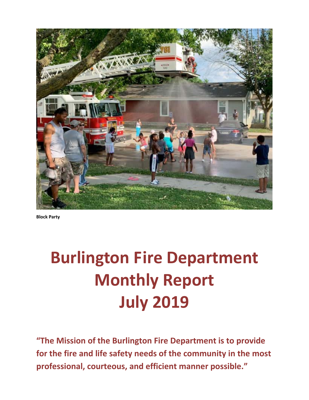

**Block Party**

# **Burlington Fire Department Monthly Report July 2019**

**"The Mission of the Burlington Fire Department is to provide for the fire and life safety needs of the community in the most professional, courteous, and efficient manner possible."**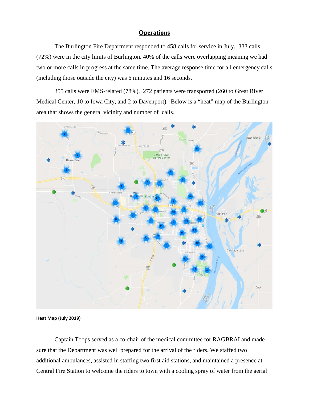#### **Operations**

The Burlington Fire Department responded to 458 calls for service in July. 333 calls (72%) were in the city limits of Burlington. 40% of the calls were overlapping meaning we had two or more calls in progress at the same time. The average response time for all emergency calls (including those outside the city) was 6 minutes and 16 seconds.

355 calls were EMS-related (78%). 272 patients were transported (260 to Great River Medical Center, 10 to Iowa City, and 2 to Davenport). Below is a "heat" map of the Burlington area that shows the general vicinity and number of calls.



**Heat Map (July 2019)**

Captain Toops served as a co-chair of the medical committee for RAGBRAI and made sure that the Department was well prepared for the arrival of the riders. We staffed two additional ambulances, assisted in staffing two first aid stations, and maintained a presence at Central Fire Station to welcome the riders to town with a cooling spray of water from the aerial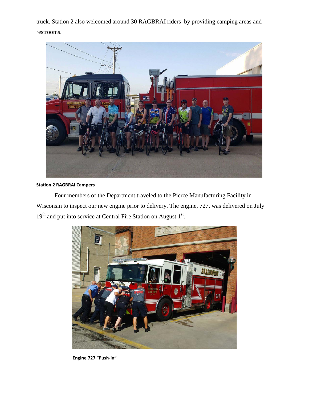truck. Station 2 also welcomed around 30 RAGBRAI riders by providing camping areas and restrooms.



### **Station 2 RAGBRAI Campers**

Four members of the Department traveled to the Pierce Manufacturing Facility in Wisconsin to inspect our new engine prior to delivery. The engine, 727, was delivered on July  $19<sup>th</sup>$  and put into service at Central Fire Station on August  $1<sup>st</sup>$ .



**Engine 727 "Push-in"**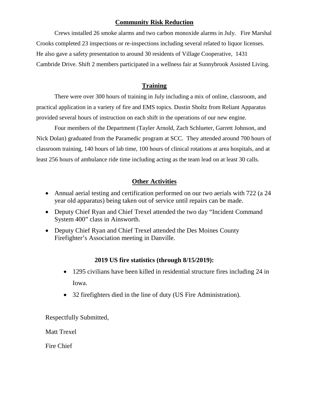## **Community Risk Reduction**

Crews installed 26 smoke alarms and two carbon monoxide alarms in July. Fire Marshal Crooks completed 23 inspections or re-inspections including several related to liquor licenses. He also gave a safety presentation to around 30 residents of Village Cooperative, 1431 Cambride Drive. Shift 2 members participated in a wellness fair at Sunnybrook Assisted Living.

## **Training**

There were over 300 hours of training in July including a mix of online, classroom, and practical application in a variety of fire and EMS topics. Dustin Sholtz from Reliant Apparatus provided several hours of instruction on each shift in the operations of our new engine.

Four members of the Department (Tayler Arnold, Zach Schlueter, Garrett Johnson, and Nick Dolan) graduated from the Paramedic program at SCC. They attended around 700 hours of classroom training, 140 hours of lab time, 100 hours of clinical rotations at area hospitals, and at least 256 hours of ambulance ride time including acting as the team lead on at least 30 calls.

## **Other Activities**

- Annual aerial testing and certification performed on our two aerials with 722 (a 24 year old apparatus) being taken out of service until repairs can be made.
- Deputy Chief Ryan and Chief Trexel attended the two day "Incident Command" System 400" class in Ainsworth.
- Deputy Chief Ryan and Chief Trexel attended the Des Moines County Firefighter's Association meeting in Danville.

### **2019 US fire statistics (through 8/15/2019):**

- 1295 civilians have been killed in residential structure fires including 24 in Iowa.
- 32 firefighters died in the line of duty (US Fire Administration).

Respectfully Submitted,

Matt Trexel

Fire Chief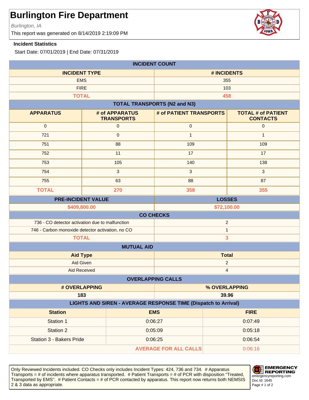Burlington, IA

This report was generated on 8/14/2019 2:19:09 PM

#### **Incident Statistics**

Start Date: 07/01/2019 | End Date: 07/31/2019

| <b>INCIDENT COUNT</b>                                                                 |                                                                   |                                         |                         |                                              |
|---------------------------------------------------------------------------------------|-------------------------------------------------------------------|-----------------------------------------|-------------------------|----------------------------------------------|
| <b>INCIDENT TYPE</b>                                                                  |                                                                   |                                         | # INCIDENTS             |                                              |
| <b>EMS</b>                                                                            |                                                                   | 355                                     |                         |                                              |
|                                                                                       | <b>FIRE</b>                                                       | 103                                     |                         |                                              |
| <b>TOTAL</b>                                                                          |                                                                   |                                         | 458                     |                                              |
|                                                                                       |                                                                   | <b>TOTAL TRANSPORTS (N2 and N3)</b>     |                         |                                              |
| <b>APPARATUS</b>                                                                      | # of APPARATUS<br><b>TRANSPORTS</b>                               | # of PATIENT TRANSPORTS                 |                         | <b>TOTAL # of PATIENT</b><br><b>CONTACTS</b> |
| $\mathbf 0$                                                                           | 0                                                                 | $\pmb{0}$                               |                         | $\mathbf{0}$                                 |
| 721                                                                                   | $\mathsf{O}\xspace$                                               | $\mathbf{1}$                            |                         | $\mathbf{1}$                                 |
| 751                                                                                   | 88                                                                | 109                                     |                         | 109                                          |
| 752                                                                                   | 11                                                                | 17                                      |                         | 17                                           |
| 753                                                                                   | 105                                                               | 140                                     |                         | 138                                          |
| 754                                                                                   | 3                                                                 | $\mathbf{3}$                            |                         | $\mathbf{3}$                                 |
| 755                                                                                   | 63                                                                | 88                                      |                         | 87                                           |
| <b>TOTAL</b>                                                                          | 270                                                               | 358                                     |                         | 355                                          |
|                                                                                       | <b>PRE-INCIDENT VALUE</b>                                         | <b>LOSSES</b>                           |                         |                                              |
|                                                                                       | \$409,800.00                                                      | \$72,100.00                             |                         |                                              |
| <b>CO CHECKS</b>                                                                      |                                                                   |                                         |                         |                                              |
|                                                                                       | 736 - CO detector activation due to malfunction<br>$\overline{2}$ |                                         |                         |                                              |
|                                                                                       | 746 - Carbon monoxide detector activation, no CO                  | $\mathbf{1}$                            |                         |                                              |
| <b>TOTAL</b>                                                                          |                                                                   | 3                                       |                         |                                              |
|                                                                                       | <b>MUTUAL AID</b>                                                 |                                         |                         |                                              |
|                                                                                       | <b>Aid Type</b>                                                   |                                         | <b>Total</b>            |                                              |
|                                                                                       | <b>Aid Given</b>                                                  | $\boldsymbol{2}$                        |                         |                                              |
| <b>Aid Received</b>                                                                   |                                                                   |                                         | $\overline{\mathbf{4}}$ |                                              |
|                                                                                       |                                                                   | <b>OVERLAPPING CALLS</b>                |                         |                                              |
|                                                                                       | # OVERLAPPING<br>% OVERLAPPING                                    |                                         |                         |                                              |
| 183<br>39.96<br><b>LIGHTS AND SIREN - AVERAGE RESPONSE TIME (Dispatch to Arrival)</b> |                                                                   |                                         |                         |                                              |
| <b>Station</b><br><b>EMS</b><br><b>FIRE</b>                                           |                                                                   |                                         |                         |                                              |
| Station 1                                                                             |                                                                   | 0:06:27                                 |                         | 0:07:49                                      |
| Station 2                                                                             |                                                                   | 0:05:09                                 |                         | 0:05:18                                      |
| <b>Station 3 - Bakers Pride</b>                                                       |                                                                   | 0:06:54<br>0:06:25                      |                         |                                              |
|                                                                                       |                                                                   | <b>AVERAGE FOR ALL CALLS</b><br>0:06:16 |                         |                                              |
|                                                                                       |                                                                   |                                         |                         |                                              |

Only Reviewed Incidents included. CO Checks only includes Incident Types: 424, 736 and 734. # Apparatus Transports = # of incidents where apparatus transported. # Patient Transports = # of PCR with disposition "Treated, Transported by EMS". # Patient Contacts = # of PCR contacted by apparatus. This report now returns both NEMSIS 2 & 3 data as appropriate. The set of 2 set of 2 set of 2 set of 2 set of 2 set of 2 set of 2 set of 2 set of 2



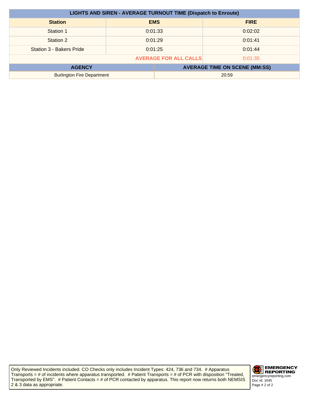| <b>LIGHTS AND SIREN - AVERAGE TURNOUT TIME (Dispatch to Enroute)</b> |         |            |                                      |
|----------------------------------------------------------------------|---------|------------|--------------------------------------|
| <b>Station</b>                                                       |         | <b>EMS</b> | <b>FIRE</b>                          |
| Station 1                                                            |         | 0:01:33    | 0:02:02                              |
| Station 2                                                            | 0:01:29 |            | 0:01:41                              |
| Station 3 - Bakers Pride                                             |         | 0:01:25    | 0:01:44                              |
| <b>AVERAGE FOR ALL CALLS</b><br>0:01:35                              |         |            |                                      |
| <b>AGENCY</b>                                                        |         |            | <b>AVERAGE TIME ON SCENE (MM:SS)</b> |
| <b>Burlington Fire Department</b>                                    |         |            | 20:59                                |

Only Reviewed Incidents included. CO Checks only includes Incident Types: 424, 736 and 734. # Apparatus Transports = # of incidents where apparatus transported. # Patient Transports = # of PCR with disposition "Treated, Transported by EMS". # Patient Contacts = # of PCR contacted by apparatus. This report now returns both NEMSIS 2 & 3 data as appropriate.

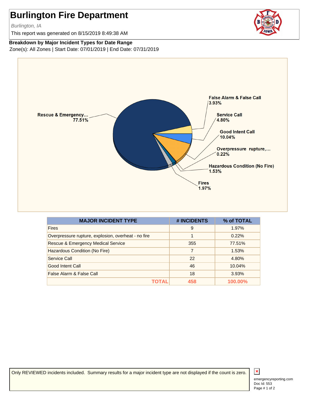Burlington, IA

This report was generated on 8/15/2019 8:49:38 AM

#### **Breakdown by Major Incident Types for Date Range**

Zone(s): All Zones | Start Date: 07/01/2019 | End Date: 07/31/2019



| <b>MAJOR INCIDENT TYPE</b>                          | # INCIDENTS | % of TOTAL |
|-----------------------------------------------------|-------------|------------|
| <b>Fires</b>                                        | 9           | 1.97%      |
| Overpressure rupture, explosion, overheat - no fire | 1           | 0.22%      |
| <b>Rescue &amp; Emergency Medical Service</b>       | 355         | 77.51%     |
| Hazardous Condition (No Fire)                       | 7           | 1.53%      |
| Service Call                                        | 22          | 4.80%      |
| Good Intent Call                                    | 46          | 10.04%     |
| False Alarm & False Call                            | 18          | 3.93%      |
|                                                     | 458         | 100.00%    |

Only REVIEWED incidents included. Summary results for a major incident type are not displayed if the count is zero.

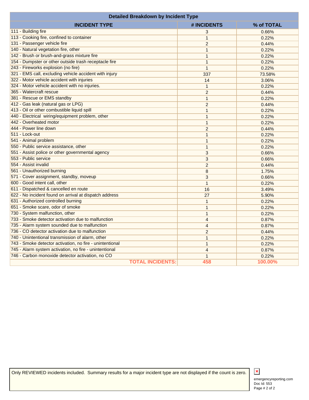| <b>Detailed Breakdown by Incident Type</b>               |                |            |  |
|----------------------------------------------------------|----------------|------------|--|
| <b>INCIDENT TYPE</b>                                     | # INCIDENTS    | % of TOTAL |  |
| 111 - Building fire                                      | 3              | 0.66%      |  |
| 113 - Cooking fire, confined to container                | $\mathbf{1}$   | 0.22%      |  |
| 131 - Passenger vehicle fire                             | $\overline{2}$ | 0.44%      |  |
| 140 - Natural vegetation fire, other                     | $\mathbf{1}$   | 0.22%      |  |
| 142 - Brush or brush-and-grass mixture fire              | $\mathbf{1}$   | 0.22%      |  |
| 154 - Dumpster or other outside trash receptacle fire    | $\mathbf{1}$   | 0.22%      |  |
| 243 - Fireworks explosion (no fire)                      | $\mathbf{1}$   | 0.22%      |  |
| 321 - EMS call, excluding vehicle accident with injury   | 337            | 73.58%     |  |
| 322 - Motor vehicle accident with injuries               | 14             | 3.06%      |  |
| 324 - Motor vehicle accident with no injuries.           | $\mathbf{1}$   | 0.22%      |  |
| 365 - Watercraft rescue                                  | $\overline{2}$ | 0.44%      |  |
| 381 - Rescue or EMS standby                              | $\mathbf{1}$   | 0.22%      |  |
| 412 - Gas leak (natural gas or LPG)                      | $\overline{2}$ | 0.44%      |  |
| 413 - Oil or other combustible liquid spill              | $\mathbf{1}$   | 0.22%      |  |
| 440 - Electrical wiring/equipment problem, other         | $\mathbf{1}$   | 0.22%      |  |
| 442 - Overheated motor                                   | $\mathbf{1}$   | 0.22%      |  |
| 444 - Power line down                                    | $\overline{2}$ | 0.44%      |  |
| 511 - Lock-out                                           | $\mathbf{1}$   | 0.22%      |  |
| 541 - Animal problem                                     | $\mathbf{1}$   | 0.22%      |  |
| 550 - Public service assistance, other                   | $\mathbf{1}$   | 0.22%      |  |
| 551 - Assist police or other governmental agency         | 3              | 0.66%      |  |
| 553 - Public service                                     | 3              | 0.66%      |  |
| 554 - Assist invalid                                     | $\overline{2}$ | 0.44%      |  |
| 561 - Unauthorized burning                               | 8              | 1.75%      |  |
| 571 - Cover assignment, standby, moveup                  | 3              | 0.66%      |  |
| 600 - Good intent call, other                            | $\mathbf{1}$   | 0.22%      |  |
| 611 - Dispatched & cancelled en route                    | 16             | 3.49%      |  |
| 622 - No incident found on arrival at dispatch address   | 27             | 5.90%      |  |
| 631 - Authorized controlled burning                      | $\mathbf{1}$   | 0.22%      |  |
| 651 - Smoke scare, odor of smoke                         | $\mathbf{1}$   | 0.22%      |  |
| 730 - System malfunction, other                          | $\mathbf{1}$   | 0.22%      |  |
| 733 - Smoke detector activation due to malfunction       | 4              | 0.87%      |  |
| 735 - Alarm system sounded due to malfunction            | $\overline{4}$ | 0.87%      |  |
| 736 - CO detector activation due to malfunction          | $\overline{c}$ | 0.44%      |  |
| 740 - Unintentional transmission of alarm, other         | 1              | 0.22%      |  |
| 743 - Smoke detector activation, no fire - unintentional | 1              | 0.22%      |  |
| 745 - Alarm system activation, no fire - unintentional   | $\overline{4}$ | 0.87%      |  |
| 746 - Carbon monoxide detector activation, no CO         | 1              | 0.22%      |  |
| <b>TOTAL INCIDENTS:</b>                                  | 458            | 100.00%    |  |

Only REVIEWED incidents included. Summary results for a major incident type are not displayed if the count is zero.

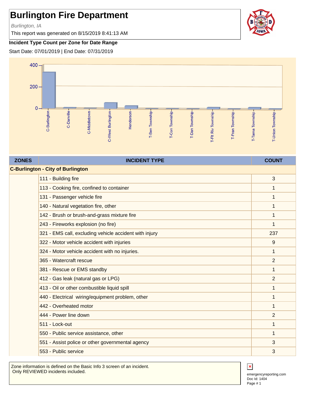Burlington, IA

This report was generated on 8/15/2019 8:41:13 AM



#### **Incident Type Count per Zone for Date Range**

Start Date: 07/01/2019 | End Date: 07/31/2019



| <b>ZONES</b> | <b>INCIDENT TYPE</b>                                   | <b>COUNT</b>   |  |  |
|--------------|--------------------------------------------------------|----------------|--|--|
|              | <b>C-Burlington - City of Burlington</b>               |                |  |  |
|              | 111 - Building fire                                    | 3              |  |  |
|              | 113 - Cooking fire, confined to container              | 1              |  |  |
|              | 131 - Passenger vehicle fire                           | 1              |  |  |
|              | 140 - Natural vegetation fire, other                   | $\mathbf 1$    |  |  |
|              | 142 - Brush or brush-and-grass mixture fire            | 1              |  |  |
|              | 243 - Fireworks explosion (no fire)                    | 1              |  |  |
|              | 321 - EMS call, excluding vehicle accident with injury | 237            |  |  |
|              | 322 - Motor vehicle accident with injuries             | 9              |  |  |
|              | 324 - Motor vehicle accident with no injuries.         | $\mathbf{1}$   |  |  |
|              | 365 - Watercraft rescue                                | $\overline{2}$ |  |  |
|              | 381 - Rescue or EMS standby                            | 1              |  |  |
|              | 412 - Gas leak (natural gas or LPG)                    | $\overline{2}$ |  |  |
|              | 413 - Oil or other combustible liquid spill            | 1              |  |  |
|              | 440 - Electrical wiring/equipment problem, other       | 1              |  |  |
|              | 442 - Overheated motor                                 | 1              |  |  |
|              | 444 - Power line down                                  | $\overline{2}$ |  |  |
|              | 511 - Lock-out                                         | 1              |  |  |
|              | 550 - Public service assistance, other                 | 1              |  |  |
|              | 551 - Assist police or other governmental agency       | 3              |  |  |
|              | 553 - Public service                                   | 3              |  |  |

Zone information is defined on the Basic Info 3 screen of an incident. Only REVIEWED incidents included.



Doc Id: 1404 emergencyreporting.com Page # 1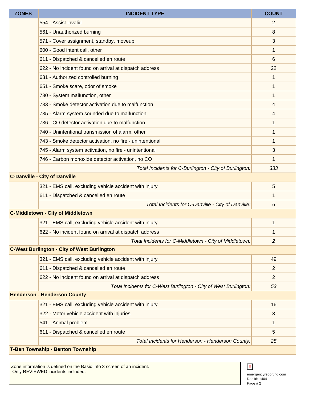| <b>ZONES</b>                        | <b>INCIDENT TYPE</b>                                             | <b>COUNT</b>   |  |
|-------------------------------------|------------------------------------------------------------------|----------------|--|
|                                     | 554 - Assist invalid                                             | 2              |  |
|                                     | 561 - Unauthorized burning                                       | 8              |  |
|                                     | 571 - Cover assignment, standby, moveup                          | 3              |  |
|                                     | 600 - Good intent call, other                                    | 1              |  |
|                                     | 611 - Dispatched & cancelled en route                            | 6              |  |
|                                     | 622 - No incident found on arrival at dispatch address           | 22             |  |
|                                     | 631 - Authorized controlled burning                              | 1              |  |
|                                     | 651 - Smoke scare, odor of smoke                                 | 1              |  |
|                                     | 730 - System malfunction, other                                  | 1              |  |
|                                     | 733 - Smoke detector activation due to malfunction               | 4              |  |
|                                     | 735 - Alarm system sounded due to malfunction                    | 4              |  |
|                                     | 736 - CO detector activation due to malfunction                  | 1              |  |
|                                     | 740 - Unintentional transmission of alarm, other                 | 1              |  |
|                                     | 743 - Smoke detector activation, no fire - unintentional         | 1              |  |
|                                     | 745 - Alarm system activation, no fire - unintentional           | 3              |  |
|                                     | 746 - Carbon monoxide detector activation, no CO                 | 1              |  |
|                                     | Total Incidents for C-Burlington - City of Burlington:           | 333            |  |
|                                     | <b>C-Danville - City of Danville</b>                             |                |  |
|                                     | 321 - EMS call, excluding vehicle accident with injury           | 5              |  |
|                                     | 611 - Dispatched & cancelled en route                            | 1              |  |
|                                     | Total Incidents for C-Danville - City of Danville:               | 6              |  |
|                                     | <b>C-Middletown - City of Middletown</b>                         |                |  |
|                                     | 321 - EMS call, excluding vehicle accident with injury           | 1              |  |
|                                     | 622 - No incident found on arrival at dispatch address           | 1              |  |
|                                     | Total Incidents for C-Middletown - City of Middletown:           | 2              |  |
|                                     | <b>C-West Burlington - City of West Burlington</b>               |                |  |
|                                     | 321 - EMS call, excluding vehicle accident with injury           | 49             |  |
|                                     | 611 - Dispatched & cancelled en route                            | $\overline{2}$ |  |
|                                     | 622 - No incident found on arrival at dispatch address           | 2              |  |
|                                     | Total Incidents for C-West Burlington - City of West Burlington: | 53             |  |
| <b>Henderson - Henderson County</b> |                                                                  |                |  |
|                                     | 321 - EMS call, excluding vehicle accident with injury           | 16             |  |
|                                     | 322 - Motor vehicle accident with injuries                       | 3              |  |
|                                     | 541 - Animal problem                                             | 1              |  |
|                                     | 611 - Dispatched & cancelled en route                            | 5              |  |
|                                     | Total Incidents for Henderson - Henderson County:                | 25             |  |
|                                     | <b>T. Ren Townshin - Renton Townshin</b>                         |                |  |

#### **Township - Benton Township**

Zone information is defined on the Basic Info 3 screen of an incident. Only REVIEWED incidents included.



Doc Id: 1404 emergencyreporting.com Page # 2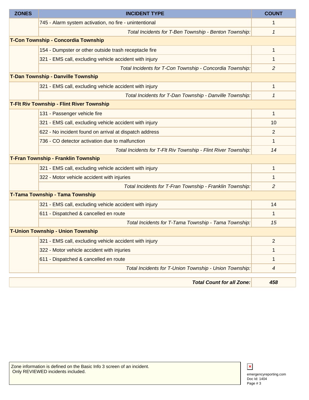| <b>ZONES</b>                               | <b>INCIDENT TYPE</b>                                           | <b>COUNT</b>             |
|--------------------------------------------|----------------------------------------------------------------|--------------------------|
|                                            | 745 - Alarm system activation, no fire - unintentional         | 1                        |
|                                            | Total Incidents for T-Ben Township - Benton Township:          | 1                        |
| T-Con Township - Concordia Township        |                                                                |                          |
|                                            | 154 - Dumpster or other outside trash receptacle fire          | 1                        |
|                                            | 321 - EMS call, excluding vehicle accident with injury         | 1                        |
|                                            | Total Incidents for T-Con Township - Concordia Township:       | $\overline{c}$           |
|                                            | T-Dan Township - Danville Township                             |                          |
|                                            | 321 - EMS call, excluding vehicle accident with injury         | 1                        |
|                                            | Total Incidents for T-Dan Township - Danville Township:        | 1                        |
|                                            | <b>T-Fit Riv Township - Flint River Township</b>               |                          |
|                                            | 131 - Passenger vehicle fire                                   | $\mathbf{1}$             |
|                                            | 321 - EMS call, excluding vehicle accident with injury         | 10                       |
|                                            | 622 - No incident found on arrival at dispatch address         | 2                        |
|                                            | 736 - CO detector activation due to malfunction                | 1                        |
|                                            | Total Incidents for T-FIt Riv Township - Flint River Township: | 14                       |
| <b>T-Fran Township - Franklin Township</b> |                                                                |                          |
|                                            | 321 - EMS call, excluding vehicle accident with injury         | $\mathbf{1}$             |
|                                            | 322 - Motor vehicle accident with injuries                     | 1                        |
|                                            | Total Incidents for T-Fran Township - Franklin Township:       | 2                        |
|                                            | T-Tama Township - Tama Township                                |                          |
|                                            | 321 - EMS call, excluding vehicle accident with injury         | 14                       |
|                                            | 611 - Dispatched & cancelled en route                          | 1                        |
|                                            | Total Incidents for T-Tama Township - Tama Township:           | 15                       |
| <b>T-Union Township - Union Township</b>   |                                                                |                          |
|                                            | 321 - EMS call, excluding vehicle accident with injury         | $\overline{2}$           |
|                                            | 322 - Motor vehicle accident with injuries                     | 1                        |
|                                            | 611 - Dispatched & cancelled en route                          | 1                        |
|                                            | Total Incidents for T-Union Township - Union Township:         | $\overline{\mathcal{A}}$ |
|                                            | <b>Total Count for all Zone:</b>                               | 458                      |

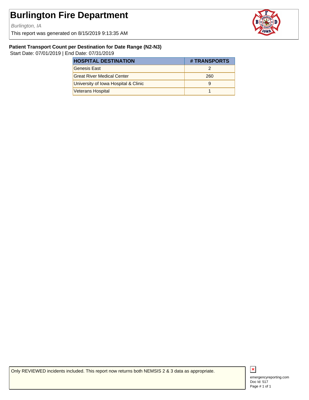Burlington, IA

This report was generated on 8/15/2019 9:13:35 AM



#### **Patient Transport Count per Destination for Date Range (N2-N3)**

Start Date: 07/01/2019 | End Date: 07/31/2019

| <b>HOSPITAL DESTINATION</b>          | # TRANSPORTS |
|--------------------------------------|--------------|
| Genesis East                         |              |
| <b>Great River Medical Center</b>    | 260          |
| University of Iowa Hospital & Clinic |              |
| <b>Veterans Hospital</b>             |              |

Only REVIEWED incidents included. This report now returns both NEMSIS 2 & 3 data as appropriate.



Doc Id: 517 emergencyreporting.com Page # 1 of 1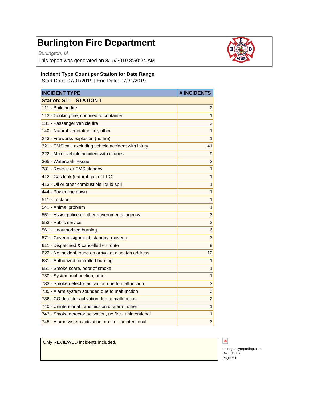Burlington, IA

This report was generated on 8/15/2019 8:50:24 AM



#### **Incident Type Count per Station for Date Range**

Start Date: 07/01/2019 | End Date: 07/31/2019

| <b>INCIDENT TYPE</b>                                     | # INCIDENTS             |
|----------------------------------------------------------|-------------------------|
| <b>Station: ST1 - STATION 1</b>                          |                         |
| 111 - Building fire                                      | $\overline{\mathbf{c}}$ |
| 113 - Cooking fire, confined to container                | $\overline{1}$          |
| 131 - Passenger vehicle fire                             | $\overline{c}$          |
| 140 - Natural vegetation fire, other                     | $\mathbf{1}$            |
| 243 - Fireworks explosion (no fire)                      | $\mathbf{1}$            |
| 321 - EMS call, excluding vehicle accident with injury   | 141                     |
| 322 - Motor vehicle accident with injuries               | 9                       |
| 365 - Watercraft rescue                                  | $\overline{c}$          |
| 381 - Rescue or EMS standby                              | $\mathbf{1}$            |
| 412 - Gas leak (natural gas or LPG)                      | $\overline{1}$          |
| 413 - Oil or other combustible liquid spill              | 1                       |
| 444 - Power line down                                    | $\mathbf{1}$            |
| 511 - Lock-out                                           | $\mathbf{1}$            |
| 541 - Animal problem                                     | $\mathbf{1}$            |
| 551 - Assist police or other governmental agency         | 3                       |
| 553 - Public service                                     | 3                       |
| 561 - Unauthorized burning                               | 6                       |
| 571 - Cover assignment, standby, moveup                  | 3                       |
| 611 - Dispatched & cancelled en route                    | 9                       |
| 622 - No incident found on arrival at dispatch address   | 12                      |
| 631 - Authorized controlled burning                      | $\mathbf{1}$            |
| 651 - Smoke scare, odor of smoke                         | $\mathbf{1}$            |
| 730 - System malfunction, other                          | $\overline{1}$          |
| 733 - Smoke detector activation due to malfunction       | 3                       |
| 735 - Alarm system sounded due to malfunction            | 3                       |
| 736 - CO detector activation due to malfunction          | $\overline{c}$          |
| 740 - Unintentional transmission of alarm, other         | $\mathbf{1}$            |
| 743 - Smoke detector activation, no fire - unintentional | 1                       |
| 745 - Alarm system activation, no fire - unintentional   | 3                       |

Only REVIEWED incidents included.



Doc Id: 857 emergencyreporting.com Page # 1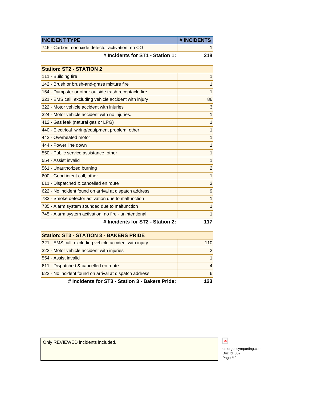| <b>INCIDENT TYPE</b>                             | <b>#INCIDENTS</b> |
|--------------------------------------------------|-------------------|
| 746 - Carbon monoxide detector activation, no CO |                   |

**# Incidents for ST1 - Station 1: 218**

| <b>Station: ST2 - STATION 2</b>                        |                |
|--------------------------------------------------------|----------------|
| 111 - Building fire                                    | 1              |
| 142 - Brush or brush-and-grass mixture fire            | 1              |
| 154 - Dumpster or other outside trash receptacle fire  | 1              |
| 321 - EMS call, excluding vehicle accident with injury | 86             |
| 322 - Motor vehicle accident with injuries             | 3              |
| 324 - Motor vehicle accident with no injuries.         | $\mathbf{1}$   |
| 412 - Gas leak (natural gas or LPG)                    | 1              |
| 440 - Electrical wiring/equipment problem, other       | $\mathbf{1}$   |
| 442 - Overheated motor                                 | 1              |
| 444 - Power line down                                  | 1              |
| 550 - Public service assistance, other                 | $\mathbf{1}$   |
| 554 - Assist invalid                                   | $\mathbf{1}$   |
| 561 - Unauthorized burning                             | $\overline{c}$ |
| 600 - Good intent call, other                          | $\mathbf{1}$   |
| 611 - Dispatched & cancelled en route                  | 3              |
| 622 - No incident found on arrival at dispatch address | 9              |
| 733 - Smoke detector activation due to malfunction     | 1              |
| 735 - Alarm system sounded due to malfunction          | 1              |
| 745 - Alarm system activation, no fire - unintentional | 1              |
| $C$ ininn $2$<br># Ingidanta far RT2                   | 447            |

**# Incidents for ST2 - Station 2: 117**

| <b>Station: ST3 - STATION 3 - BAKERS PRIDE</b>         |                        |
|--------------------------------------------------------|------------------------|
| 321 - EMS call, excluding vehicle accident with injury | 110                    |
| 322 - Motor vehicle accident with injuries             | $\mathcal{P}$          |
| 554 - Assist invalid                                   | 1                      |
| 611 - Dispatched & cancelled en route                  | $\boldsymbol{\Lambda}$ |
| 622 - No incident found on arrival at dispatch address | 6                      |
| # Incidents for ST3 - Station 3 - Bakers Pride:        | 23                     |

Only REVIEWED incidents included.



Doc Id: 857 emergencyreporting.com Page # 2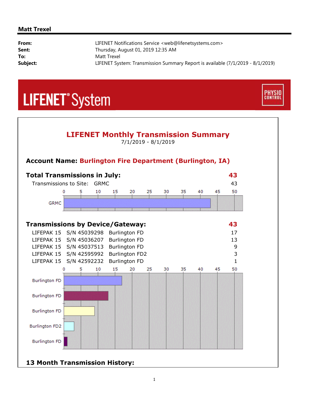#### **Matt Trexel**

| From:    | LIFENET Notifications Service <web@lifenetsystems.com></web@lifenetsystems.com> |
|----------|---------------------------------------------------------------------------------|
| Sent:    | Thursday, August 01, 2019 12:35 AM                                              |
| To:      | Matt Trexel                                                                     |
| Subject: | LIFENET System: Transmission Summary Report is available (7/1/2019 - 8/1/2019)  |
|          |                                                                                 |

**PHYSIO**<br>CONTROL

# **LIFENET**<sup>\*</sup>System